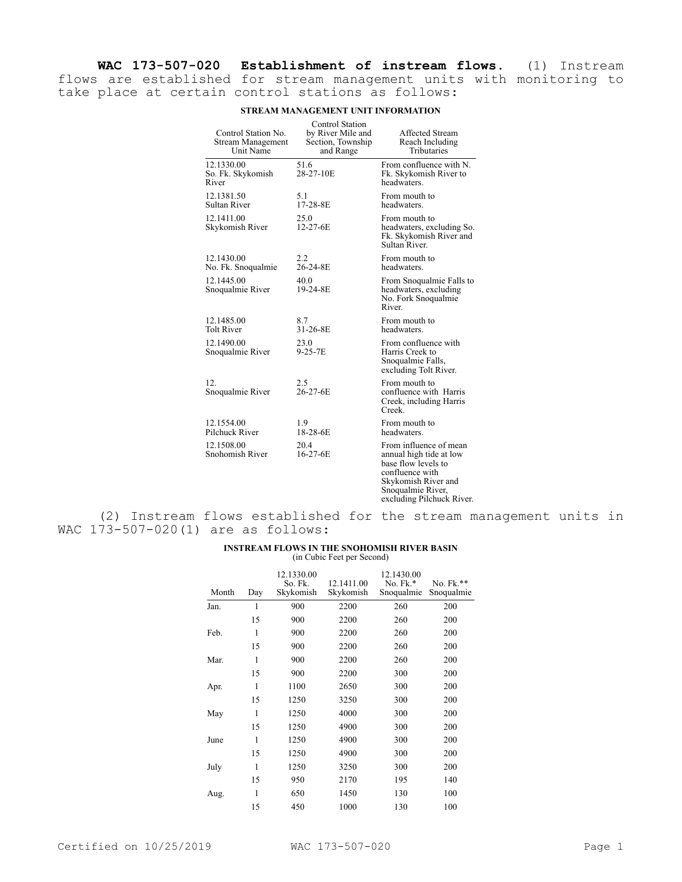**WAC 173-507-020 Establishment of instream flows.** (1) Instream flows are established for stream management units with monitoring to take place at certain control stations as follows:

| Control Station No.<br><b>Stream Management</b><br>Unit Name | <b>Control Station</b><br>by River Mile and<br>Section, Township<br>and Range | Affected Stream<br>Reach Including<br>Tributaries                                                                                                                    |
|--------------------------------------------------------------|-------------------------------------------------------------------------------|----------------------------------------------------------------------------------------------------------------------------------------------------------------------|
| 12.1330.00<br>So. Fk. Skykomish<br>River                     | 51.6<br>28-27-10E                                                             | From confluence with N.<br>Fk. Skykomish River to<br>headwaters.                                                                                                     |
| 12.1381.50<br><b>Sultan River</b>                            | 5.1<br>17-28-8E                                                               | From mouth to<br>headwaters.                                                                                                                                         |
| 12.1411.00<br>Skykomish River                                | 25.0<br>12-27-6E                                                              | From mouth to<br>headwaters, excluding So.<br>Fk. Skykomish River and<br>Sultan River.                                                                               |
| 12.1430.00<br>No. Fk. Snoqualmie                             | 2.2<br>26-24-8E                                                               | From mouth to<br>headwaters.                                                                                                                                         |
| 12.1445.00<br>Snoqualmie River                               | 40.0<br>19-24-8E                                                              | From Snoqualmie Falls to<br>headwaters, excluding<br>No. Fork Snoqualmie<br>River.                                                                                   |
| 12.1485.00<br><b>Tolt River</b>                              | 8.7<br>31-26-8E                                                               | From mouth to<br>headwaters.                                                                                                                                         |
| 12.1490.00<br>Snoqualmie River                               | 23.0<br>$9 - 25 - 7E$                                                         | From confluence with<br>Harris Creek to<br>Snoqualmie Falls,<br>excluding Tolt River.                                                                                |
| 12.<br>Snoqualmie River                                      | 2.5<br>26-27-6E                                                               | From mouth to<br>confluence with Harris<br>Creek, including Harris<br>Creek.                                                                                         |
| 12.1554.00<br>Pilchuck River                                 | 1.9<br>18-28-6E                                                               | From mouth to<br>headwaters.                                                                                                                                         |
| 12.1508.00<br>Snohomish River                                | 20.4<br>$16-27-6E$                                                            | From influence of mean<br>annual high tide at low<br>base flow levels to<br>confluence with<br>Skykomish River and<br>Snoqualmie River,<br>excluding Pilchuck River. |

## **STREAM MANAGEMENT UNIT INFORMATION**

(2) Instream flows established for the stream management units in WAC 173-507-020(1) are as follows:

## **INSTREAM FLOWS IN THE SNOHOMISH RIVER BASIN** (in Cubic Feet per Second)

| Month | Day | 12.1330.00<br>So. Fk.<br>Skykomish | 12.1411.00<br>Skykomish | 12.1430.00<br>No. Fk.*<br>Snoqualmie | No. Fk.**<br>Snoqualmie |
|-------|-----|------------------------------------|-------------------------|--------------------------------------|-------------------------|
| Jan.  | 1   | 900                                | 2200                    | 260                                  | 200                     |
|       | 15  | 900                                | 2200                    | 260                                  | 200                     |
| Feb.  | 1   | 900                                | 2200                    | 260                                  | 200                     |
|       | 15  | 900                                | 2200                    | 260                                  | 200                     |
| Mar.  | 1   | 900                                | 2200                    | 260                                  | 200                     |
|       | 15  | 900                                | 2200                    | 300                                  | 200                     |
| Apr.  | 1   | 1100                               | 2650                    | 300                                  | 200                     |
|       | 15  | 1250                               | 3250                    | 300                                  | 200                     |
| May   | 1   | 1250                               | 4000                    | 300                                  | 200                     |
|       | 15  | 1250                               | 4900                    | 300                                  | 200                     |
| June  | 1   | 1250                               | 4900                    | 300                                  | 200                     |
|       | 15  | 1250                               | 4900                    | 300                                  | 200                     |
| July  | 1   | 1250                               | 3250                    | 300                                  | 200                     |
|       | 15  | 950                                | 2170                    | 195                                  | 140                     |
| Aug.  | 1   | 650                                | 1450                    | 130                                  | 100                     |
|       | 15  | 450                                | 1000                    | 130                                  | 100                     |
|       |     |                                    |                         |                                      |                         |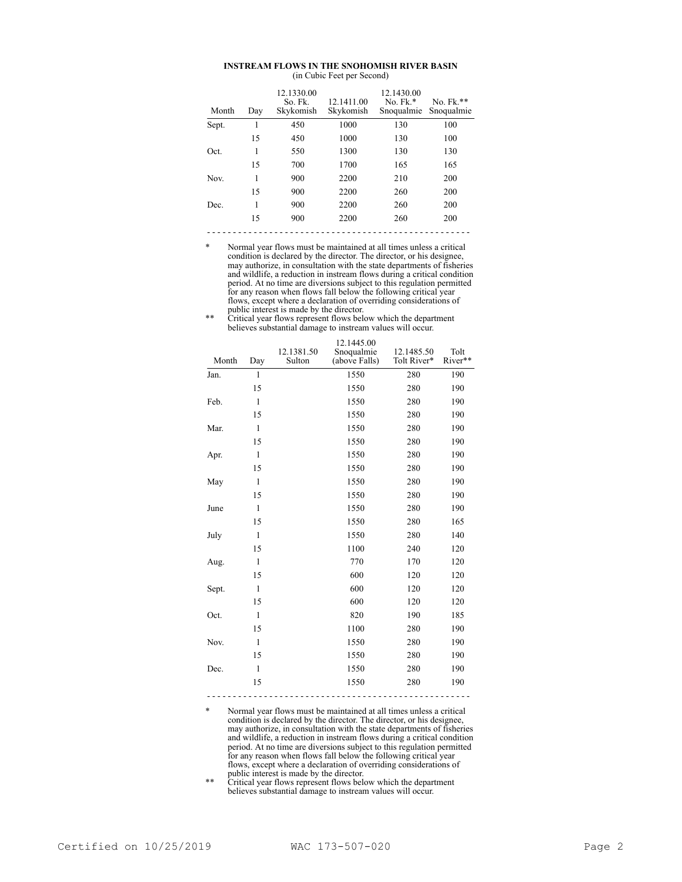## **INSTREAM FLOWS IN THE SNOHOMISH RIVER BASIN** (in Cubic Feet per Second)

| Month | Day | 12.1330.00<br>So. Fk.<br>Skykomish | 12.1411.00<br>Skykomish | 12.1430.00<br>$No. Fk.*$<br>Snoqualmie | No. $Fk.**$<br>Snoqualmie |
|-------|-----|------------------------------------|-------------------------|----------------------------------------|---------------------------|
| Sept. | 1   | 450                                | 1000                    | 130                                    | 100                       |
|       | 15  | 450                                | 1000                    | 130                                    | 100                       |
| Oct.  | 1   | 550                                | 1300                    | 130                                    | 130                       |
|       | 15  | 700                                | 1700                    | 165                                    | 165                       |
| Nov.  | 1   | 900                                | 2200                    | 210                                    | 200                       |
|       | 15  | 900                                | 2200                    | 260                                    | 200                       |
| Dec.  | 1   | 900                                | 2200                    | 260                                    | 200                       |
|       | 15  | 900                                | 2200                    | 260                                    | 200                       |
|       |     |                                    |                         |                                        |                           |

\* Normal year flows must be maintained at all times unless a critical condition is declared by the director. The director, or his designee, may authorize, in consultation with the state departments of fisheries and wildlife, a reduction in instream flows during a critical condition period. At no time are diversions subject to this regulation permitted for any reason when flows fall below the following critical year flows, except where a declaration of overriding considerations of public interest is made by the director.

| ** | Critical year flows represent flows below which the department<br>believes substantial damage to instream values will occur. |  |  |  |  |  |  |
|----|------------------------------------------------------------------------------------------------------------------------------|--|--|--|--|--|--|
|    | 12.1445.00                                                                                                                   |  |  |  |  |  |  |
|    | .<br>.                                                                                                                       |  |  |  |  |  |  |

| Month | Day          | 12.1381.50<br>Sulton | Snoqualmie<br>(above Falls) | 12.1485.50<br>Tolt River* | Tolt<br>River** |
|-------|--------------|----------------------|-----------------------------|---------------------------|-----------------|
| Jan.  | $\mathbf{1}$ |                      | 1550                        | 280                       | 190             |
|       | 15           |                      | 1550                        | 280                       | 190             |
| Feb.  | $\mathbf{1}$ |                      | 1550                        | 280                       | 190             |
|       | 15           |                      | 1550                        | 280                       | 190             |
| Mar.  | $\mathbf{1}$ |                      | 1550                        | 280                       | 190             |
|       | 15           |                      | 1550                        | 280                       | 190             |
| Apr.  | $\mathbf{1}$ |                      | 1550                        | 280                       | 190             |
|       | 15           |                      | 1550                        | 280                       | 190             |
| May   | $\mathbf{1}$ |                      | 1550                        | 280                       | 190             |
|       | 15           |                      | 1550                        | 280                       | 190             |
| June  | $\mathbf{1}$ |                      | 1550                        | 280                       | 190             |
|       | 15           |                      | 1550                        | 280                       | 165             |
| July  | $\mathbf{1}$ |                      | 1550                        | 280                       | 140             |
|       | 15           |                      | 1100                        | 240                       | 120             |
| Aug.  | $\mathbf{1}$ |                      | 770                         | 170                       | 120             |
|       | 15           |                      | 600                         | 120                       | 120             |
| Sept. | $\mathbf{1}$ |                      | 600                         | 120                       | 120             |
|       | 15           |                      | 600                         | 120                       | 120             |
| Oct.  | $\mathbf{1}$ |                      | 820                         | 190                       | 185             |
|       | 15           |                      | 1100                        | 280                       | 190             |
| Nov.  | $\mathbf{1}$ |                      | 1550                        | 280                       | 190             |
|       | 15           |                      | 1550                        | 280                       | 190             |
| Dec.  | $\mathbf{1}$ |                      | 1550                        | 280                       | 190             |
|       | 15           |                      | 1550                        | 280                       | 190             |
|       |              |                      |                             |                           |                 |

Normal year flows must be maintained at all times unless a critical condition is declared by the director. The director, or his designee, may authorize, in consultation with the state departments of fisheries and wildlife, a reduction in instream flows during a critical condition period. At no time are diversions subject to this regulation permitted for any reason when flows fall below the following critical year flows, except where a declaration of overriding considerations of public interest is made by the director.

\*\* Critical year flows represent flows below which the department believes substantial damage to instream values will occur.